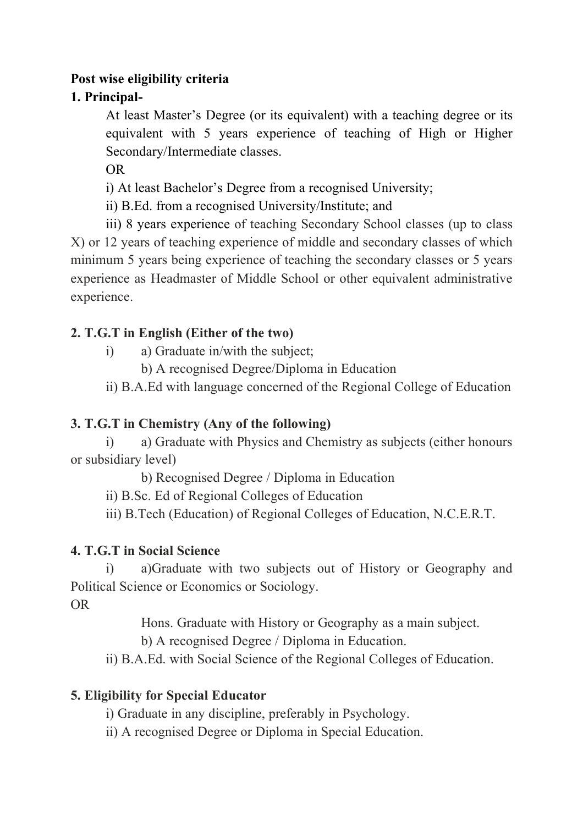#### **Post wise eligibility criteria**

#### **1. Principal-**

At least Master's Degree (or its equivalent) with a teaching degree or its equivalent with 5 years experience of teaching of High or Higher Secondary/Intermediate classes.

OR

i) At least Bachelor's Degree from a recognised University;

ii) B.Ed. from a recognised University/Institute; and

iii) 8 years experience of teaching Secondary School classes (up to class X) or 12 years of teaching experience of middle and secondary classes of which minimum 5 years being experience of teaching the secondary classes or 5 years experience as Headmaster of Middle School or other equivalent administrative experience.

#### **2. T.G.T in English (Either of the two)**

- i) a) Graduate in/with the subject;
	- b) A recognised Degree/Diploma in Education

ii) B.A.Ed with language concerned of the Regional College of Education

# **3. T.G.T in Chemistry (Any of the following)**

i) a) Graduate with Physics and Chemistry as subjects (either honours or subsidiary level)

b) Recognised Degree / Diploma in Education

ii) B.Sc. Ed of Regional Colleges of Education

iii) B.Tech (Education) of Regional Colleges of Education, N.C.E.R.T.

# **4. T.G.T in Social Science**

i) a)Graduate with two subjects out of History or Geography and Political Science or Economics or Sociology.

OR

Hons. Graduate with History or Geography as a main subject.

b) A recognised Degree / Diploma in Education.

ii) B.A.Ed. with Social Science of the Regional Colleges of Education.

# **5. Eligibility for Special Educator**

i) Graduate in any discipline, preferably in Psychology.

ii) A recognised Degree or Diploma in Special Education.